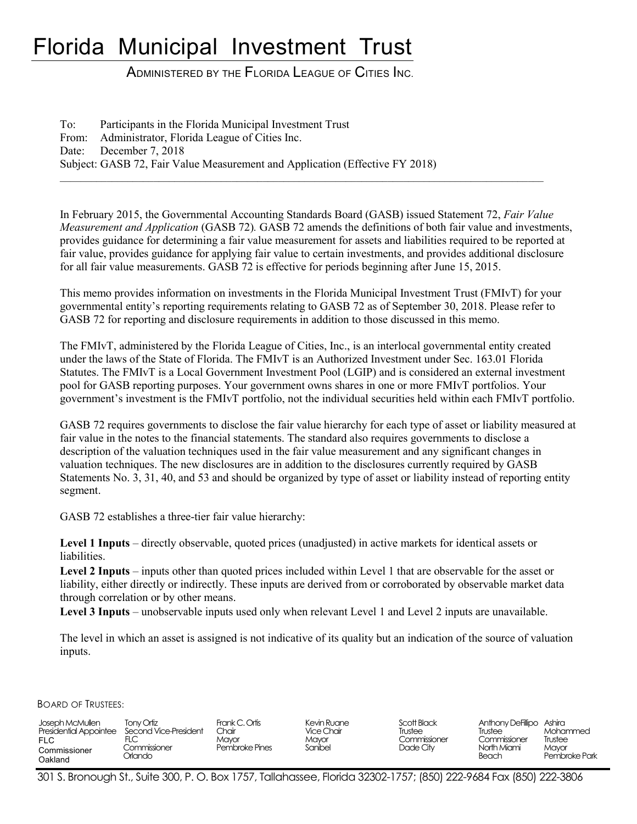# Florida Municipal Investment Trust

ADMINISTERED BY THE FLORIDA LEAGUE OF CITIES INC.

To: Participants in the Florida Municipal Investment Trust From: Administrator, Florida League of Cities Inc. Date: December 7, 2018 Subject: GASB 72, Fair Value Measurement and Application (Effective FY 2018)

In February 2015, the Governmental Accounting Standards Board (GASB) issued Statement 72, *Fair Value Measurement and Application* (GASB 72)*.* GASB 72 amends the definitions of both fair value and investments, provides guidance for determining a fair value measurement for assets and liabilities required to be reported at fair value, provides guidance for applying fair value to certain investments, and provides additional disclosure for all fair value measurements. GASB 72 is effective for periods beginning after June 15, 2015.

 $\bot$  , and the contribution of the contribution of the contribution of the contribution of the contribution of  $\bot$ 

This memo provides information on investments in the Florida Municipal Investment Trust (FMIvT) for your governmental entity's reporting requirements relating to GASB 72 as of September 30, 2018. Please refer to GASB 72 for reporting and disclosure requirements in addition to those discussed in this memo.

The FMIvT, administered by the Florida League of Cities, Inc., is an interlocal governmental entity created under the laws of the State of Florida. The FMIvT is an Authorized Investment under Sec. 163.01 Florida Statutes. The FMIvT is a Local Government Investment Pool (LGIP) and is considered an external investment pool for GASB reporting purposes. Your government owns shares in one or more FMIvT portfolios. Your government's investment is the FMIvT portfolio, not the individual securities held within each FMIvT portfolio.

GASB 72 requires governments to disclose the fair value hierarchy for each type of asset or liability measured at fair value in the notes to the financial statements. The standard also requires governments to disclose a description of the valuation techniques used in the fair value measurement and any significant changes in valuation techniques. The new disclosures are in addition to the disclosures currently required by GASB Statements No. 3, 31, 40, and 53 and should be organized by type of asset or liability instead of reporting entity segment.

GASB 72 establishes a three-tier fair value hierarchy:

**Level 1 Inputs** – directly observable, quoted prices (unadjusted) in active markets for identical assets or liabilities.

Level 2 Inputs – inputs other than quoted prices included within Level 1 that are observable for the asset or liability, either directly or indirectly. These inputs are derived from or corroborated by observable market data through correlation or by other means.

**Level 3 Inputs** – unobservable inputs used only when relevant Level 1 and Level 2 inputs are unavailable.

The level in which an asset is assigned is not indicative of its quality but an indication of the source of valuation inputs.

BOARD OF TRUSTEES:

| Joseph McMullen<br><b>Presidential Appointee</b><br><b>FLC</b><br>Commissioner<br>Oakland | Tony Ortiz<br>Second Vice-President<br>FLC<br>Commissioner<br>Drlando i | Frank C. Ortis<br>Chair<br>Mavor<br>Pembroke Pines | Kevin Ruane<br><b>Vice Chair</b><br>Mavor<br>Sanibel | Scott Black<br>Trustee<br>Commissioner<br>Dade City | Anthony Defillipo Ashira<br>Trustee<br>Commissioner<br>North Miami<br>Beach | Mohammed<br>Trustee<br>Mavor<br>Pembroke Park |
|-------------------------------------------------------------------------------------------|-------------------------------------------------------------------------|----------------------------------------------------|------------------------------------------------------|-----------------------------------------------------|-----------------------------------------------------------------------------|-----------------------------------------------|
|-------------------------------------------------------------------------------------------|-------------------------------------------------------------------------|----------------------------------------------------|------------------------------------------------------|-----------------------------------------------------|-----------------------------------------------------------------------------|-----------------------------------------------|

301 S. Bronough St., Suite 300, P. O. Box 1757, Tallahassee, Florida 32302-1757; (850) 222-9684 Fax (850) 222-3806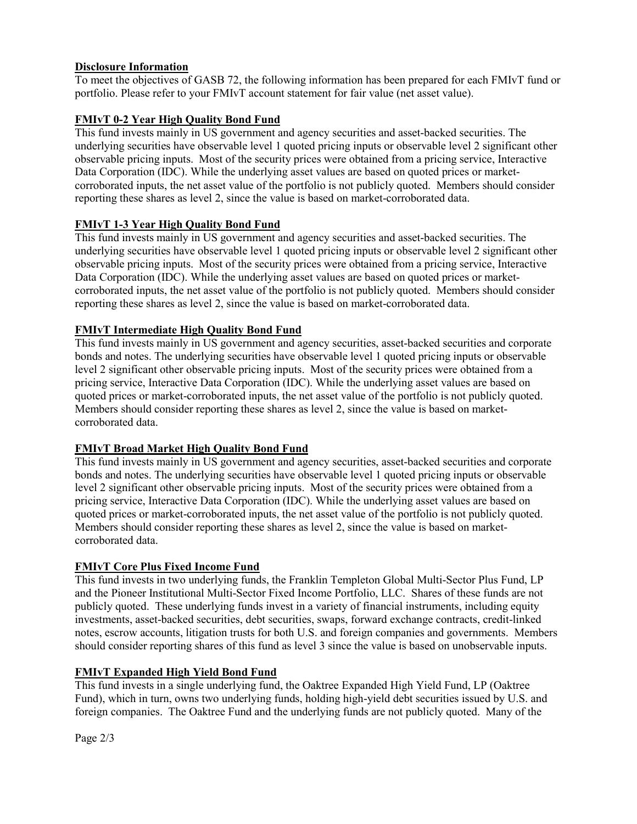## **Disclosure Information**

To meet the objectives of GASB 72, the following information has been prepared for each FMIvT fund or portfolio. Please refer to your FMIvT account statement for fair value (net asset value).

# **FMIvT 0-2 Year High Quality Bond Fund**

This fund invests mainly in US government and agency securities and asset-backed securities. The underlying securities have observable level 1 quoted pricing inputs or observable level 2 significant other observable pricing inputs. Most of the security prices were obtained from a pricing service, Interactive Data Corporation (IDC). While the underlying asset values are based on quoted prices or marketcorroborated inputs, the net asset value of the portfolio is not publicly quoted. Members should consider reporting these shares as level 2, since the value is based on market-corroborated data.

## **FMIvT 1-3 Year High Quality Bond Fund**

This fund invests mainly in US government and agency securities and asset-backed securities. The underlying securities have observable level 1 quoted pricing inputs or observable level 2 significant other observable pricing inputs. Most of the security prices were obtained from a pricing service, Interactive Data Corporation (IDC). While the underlying asset values are based on quoted prices or marketcorroborated inputs, the net asset value of the portfolio is not publicly quoted. Members should consider reporting these shares as level 2, since the value is based on market-corroborated data.

## **FMIvT Intermediate High Quality Bond Fund**

This fund invests mainly in US government and agency securities, asset-backed securities and corporate bonds and notes. The underlying securities have observable level 1 quoted pricing inputs or observable level 2 significant other observable pricing inputs. Most of the security prices were obtained from a pricing service, Interactive Data Corporation (IDC). While the underlying asset values are based on quoted prices or market-corroborated inputs, the net asset value of the portfolio is not publicly quoted. Members should consider reporting these shares as level 2, since the value is based on marketcorroborated data.

## **FMIvT Broad Market High Quality Bond Fund**

This fund invests mainly in US government and agency securities, asset-backed securities and corporate bonds and notes. The underlying securities have observable level 1 quoted pricing inputs or observable level 2 significant other observable pricing inputs. Most of the security prices were obtained from a pricing service, Interactive Data Corporation (IDC). While the underlying asset values are based on quoted prices or market-corroborated inputs, the net asset value of the portfolio is not publicly quoted. Members should consider reporting these shares as level 2, since the value is based on marketcorroborated data.

## **FMIvT Core Plus Fixed Income Fund**

This fund invests in two underlying funds, the Franklin Templeton Global Multi-Sector Plus Fund, LP and the Pioneer Institutional Multi-Sector Fixed Income Portfolio, LLC. Shares of these funds are not publicly quoted. These underlying funds invest in a variety of financial instruments, including equity investments, asset-backed securities, debt securities, swaps, forward exchange contracts, credit-linked notes, escrow accounts, litigation trusts for both U.S. and foreign companies and governments. Members should consider reporting shares of this fund as level 3 since the value is based on unobservable inputs.

## **FMIvT Expanded High Yield Bond Fund**

This fund invests in a single underlying fund, the Oaktree Expanded High Yield Fund, LP (Oaktree Fund), which in turn, owns two underlying funds, holding high-yield debt securities issued by U.S. and foreign companies. The Oaktree Fund and the underlying funds are not publicly quoted. Many of the